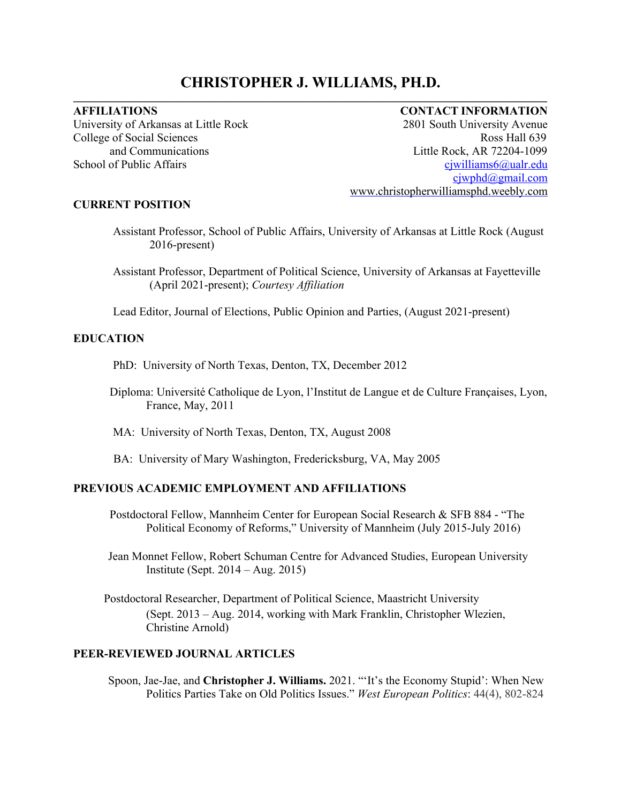# **CHRISTOPHER J. WILLIAMS, PH.D.** \_\_\_\_\_\_\_\_\_\_\_\_\_\_\_\_\_\_\_\_\_\_\_\_\_\_\_\_\_\_\_\_\_\_\_\_\_\_\_\_\_\_\_\_\_\_\_\_\_\_\_\_\_\_\_\_\_\_\_\_\_\_\_\_\_\_\_\_\_\_\_\_\_\_\_\_\_\_\_\_\_\_\_\_\_

## **AFFILIATIONS CONTACT INFORMATION**

University of Arkansas at Little Rock 2801 South University Avenue College of Social Sciences **Ross Hall 639** and Communications Little Rock, AR 72204-1099 School of Public Affairs cjwilliams6@ualr.edu cjwphd@gmail.com www.christopherwilliamsphd.weebly.com

#### **CURRENT POSITION**

- Assistant Professor, School of Public Affairs, University of Arkansas at Little Rock (August 2016-present)
- Assistant Professor, Department of Political Science, University of Arkansas at Fayetteville (April 2021-present); *Courtesy Affiliation*

Lead Editor, Journal of Elections, Public Opinion and Parties, (August 2021-present)

## **EDUCATION**

PhD: University of North Texas, Denton, TX, December 2012

Diploma: Université Catholique de Lyon, l'Institut de Langue et de Culture Françaises, Lyon, France, May, 2011

MA: University of North Texas, Denton, TX, August 2008

BA: University of Mary Washington, Fredericksburg, VA, May 2005

## **PREVIOUS ACADEMIC EMPLOYMENT AND AFFILIATIONS**

- Postdoctoral Fellow, Mannheim Center for European Social Research & SFB 884 "The Political Economy of Reforms," University of Mannheim (July 2015-July 2016)
- Jean Monnet Fellow, Robert Schuman Centre for Advanced Studies, European University Institute (Sept. 2014 – Aug. 2015)
- Postdoctoral Researcher, Department of Political Science, Maastricht University (Sept. 2013 – Aug. 2014, working with Mark Franklin, Christopher Wlezien, Christine Arnold)

## **PEER-REVIEWED JOURNAL ARTICLES**

Spoon, Jae-Jae, and **Christopher J. Williams.** 2021. "'It's the Economy Stupid': When New Politics Parties Take on Old Politics Issues." *West European Politics*: 44(4), 802-824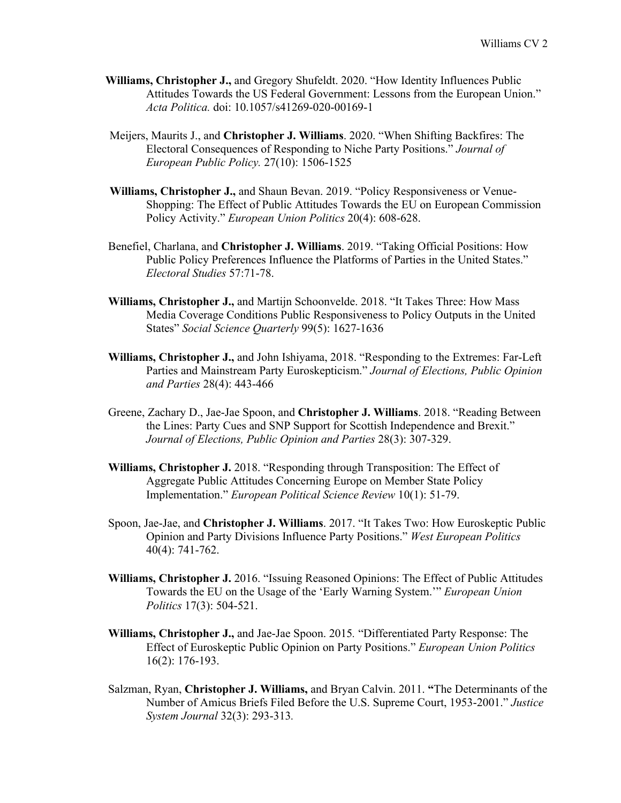- **Williams, Christopher J.,** and Gregory Shufeldt. 2020. "How Identity Influences Public Attitudes Towards the US Federal Government: Lessons from the European Union." *Acta Politica.* doi: 10.1057/s41269-020-00169-1
- Meijers, Maurits J., and **Christopher J. Williams**. 2020. "When Shifting Backfires: The Electoral Consequences of Responding to Niche Party Positions." *Journal of European Public Policy.* 27(10): 1506-1525
- **Williams, Christopher J.,** and Shaun Bevan. 2019. "Policy Responsiveness or Venue-Shopping: The Effect of Public Attitudes Towards the EU on European Commission Policy Activity." *European Union Politics* 20(4): 608-628.
- Benefiel, Charlana, and **Christopher J. Williams**. 2019. "Taking Official Positions: How Public Policy Preferences Influence the Platforms of Parties in the United States." *Electoral Studies* 57:71-78.
- **Williams, Christopher J.,** and Martijn Schoonvelde. 2018. "It Takes Three: How Mass Media Coverage Conditions Public Responsiveness to Policy Outputs in the United States" *Social Science Quarterly* 99(5): 1627-1636
- **Williams, Christopher J.,** and John Ishiyama, 2018. "Responding to the Extremes: Far-Left Parties and Mainstream Party Euroskepticism." *Journal of Elections, Public Opinion and Parties* 28(4): 443-466
- Greene, Zachary D., Jae-Jae Spoon, and **Christopher J. Williams**. 2018. "Reading Between the Lines: Party Cues and SNP Support for Scottish Independence and Brexit." *Journal of Elections, Public Opinion and Parties* 28(3): 307-329.
- **Williams, Christopher J.** 2018. "Responding through Transposition: The Effect of Aggregate Public Attitudes Concerning Europe on Member State Policy Implementation." *European Political Science Review* 10(1): 51-79.
- Spoon, Jae-Jae, and **Christopher J. Williams**. 2017. "It Takes Two: How Euroskeptic Public Opinion and Party Divisions Influence Party Positions." *West European Politics* 40(4): 741-762.
- **Williams, Christopher J.** 2016. "Issuing Reasoned Opinions: The Effect of Public Attitudes Towards the EU on the Usage of the 'Early Warning System.'" *European Union Politics* 17(3): 504-521.
- **Williams, Christopher J.,** and Jae-Jae Spoon. 2015*.* "Differentiated Party Response: The Effect of Euroskeptic Public Opinion on Party Positions." *European Union Politics* 16(2): 176-193.
- Salzman, Ryan, **Christopher J. Williams,** and Bryan Calvin. 2011. **"**The Determinants of the Number of Amicus Briefs Filed Before the U.S. Supreme Court, 1953-2001." *Justice System Journal* 32(3): 293-313*.*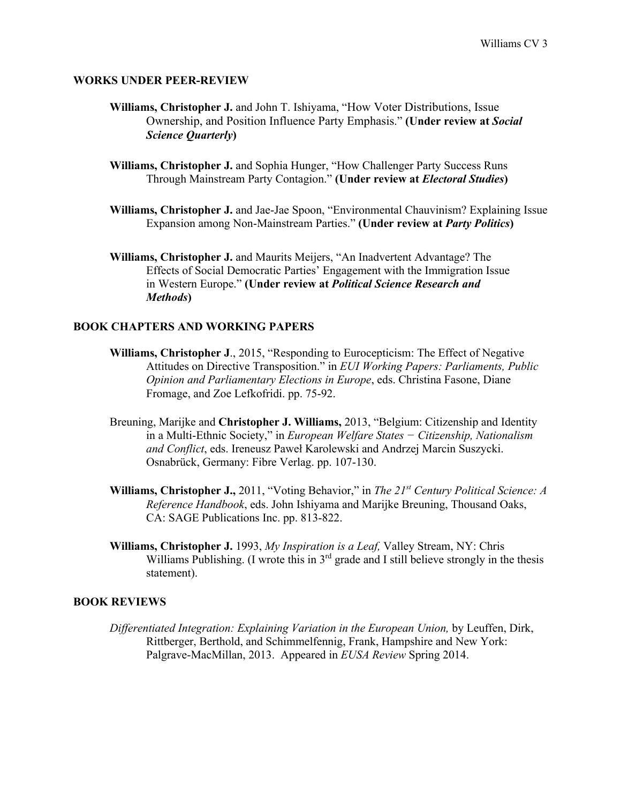#### **WORKS UNDER PEER-REVIEW**

- **Williams, Christopher J.** and John T. Ishiyama, "How Voter Distributions, Issue Ownership, and Position Influence Party Emphasis." **(Under review at** *Social Science Quarterly***)**
- **Williams, Christopher J.** and Sophia Hunger, "How Challenger Party Success Runs Through Mainstream Party Contagion." **(Under review at** *Electoral Studies***)**
- **Williams, Christopher J.** and Jae-Jae Spoon, "Environmental Chauvinism? Explaining Issue Expansion among Non-Mainstream Parties." **(Under review at** *Party Politics***)**
- **Williams, Christopher J.** and Maurits Meijers, "An Inadvertent Advantage? The Effects of Social Democratic Parties' Engagement with the Immigration Issue in Western Europe." **(Under review at** *Political Science Research and Methods***)**

#### **BOOK CHAPTERS AND WORKING PAPERS**

- **Williams, Christopher J**., 2015, "Responding to Eurocepticism: The Effect of Negative Attitudes on Directive Transposition." in *EUI Working Papers: Parliaments, Public Opinion and Parliamentary Elections in Europe*, eds. Christina Fasone, Diane Fromage, and Zoe Lefkofridi. pp. 75-92.
- Breuning, Marijke and **Christopher J. Williams,** 2013, "Belgium: Citizenship and Identity in a Multi-Ethnic Society," in *European Welfare States − Citizenship, Nationalism and Conflict*, eds. Ireneusz Paweł Karolewski and Andrzej Marcin Suszycki. Osnabrück, Germany: Fibre Verlag. pp. 107-130.
- **Williams, Christopher J.,** 2011, "Voting Behavior," in *The 21st Century Political Science: A Reference Handbook*, eds. John Ishiyama and Marijke Breuning, Thousand Oaks, CA: SAGE Publications Inc. pp. 813-822.
- **Williams, Christopher J.** 1993, *My Inspiration is a Leaf,* Valley Stream, NY: Chris Williams Publishing. (I wrote this in  $3<sup>rd</sup>$  grade and I still believe strongly in the thesis statement).

#### **BOOK REVIEWS**

*Differentiated Integration: Explaining Variation in the European Union,* by Leuffen, Dirk, Rittberger, Berthold, and Schimmelfennig, Frank, Hampshire and New York: Palgrave-MacMillan, 2013. Appeared in *EUSA Review* Spring 2014.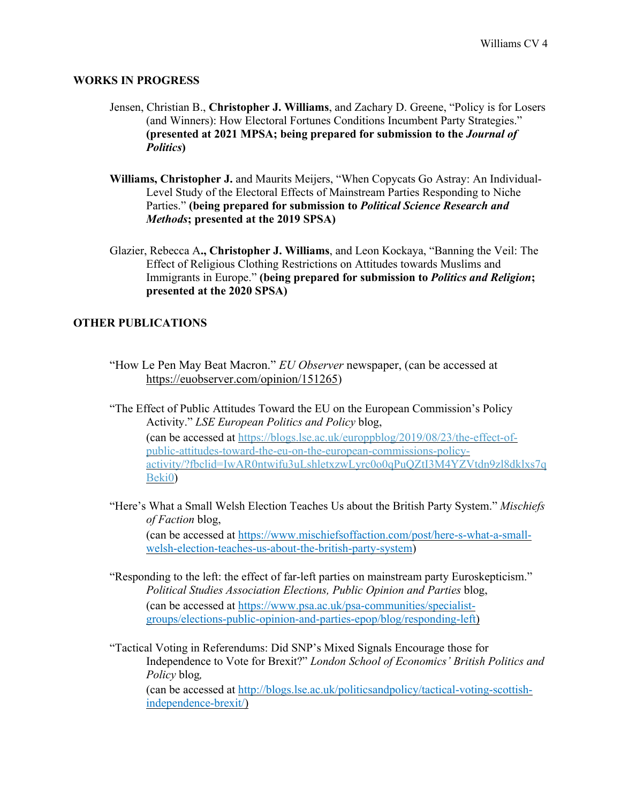#### **WORKS IN PROGRESS**

- Jensen, Christian B., **Christopher J. Williams**, and Zachary D. Greene, "Policy is for Losers (and Winners): How Electoral Fortunes Conditions Incumbent Party Strategies." **(presented at 2021 MPSA; being prepared for submission to the** *Journal of Politics***)**
- **Williams, Christopher J.** and Maurits Meijers, "When Copycats Go Astray: An Individual-Level Study of the Electoral Effects of Mainstream Parties Responding to Niche Parties." **(being prepared for submission to** *Political Science Research and Methods***; presented at the 2019 SPSA)**
- Glazier, Rebecca A**., Christopher J. Williams**, and Leon Kockaya, "Banning the Veil: The Effect of Religious Clothing Restrictions on Attitudes towards Muslims and Immigrants in Europe." **(being prepared for submission to** *Politics and Religion***; presented at the 2020 SPSA)**

## **OTHER PUBLICATIONS**

- "How Le Pen May Beat Macron." *EU Observer* newspaper, (can be accessed at https://euobserver.com/opinion/151265)
- "The Effect of Public Attitudes Toward the EU on the European Commission's Policy Activity." *LSE European Politics and Policy* blog, (can be accessed at https://blogs.lse.ac.uk/europpblog/2019/08/23/the-effect-ofpublic-attitudes-toward-the-eu-on-the-european-commissions-policyactivity/?fbclid=IwAR0ntwifu3uLshletxzwLyrc0o0qPuQZtI3M4YZVtdn9zl8dklxs7q Beki0)
- "Here's What a Small Welsh Election Teaches Us about the British Party System." *Mischiefs of Faction* blog, (can be accessed at https://www.mischiefsoffaction.com/post/here-s-what-a-smallwelsh-election-teaches-us-about-the-british-party-system)
- "Responding to the left: the effect of far-left parties on mainstream party Euroskepticism." *Political Studies Association Elections, Public Opinion and Parties* blog, (can be accessed at https://www.psa.ac.uk/psa-communities/specialistgroups/elections-public-opinion-and-parties-epop/blog/responding-left)
- "Tactical Voting in Referendums: Did SNP's Mixed Signals Encourage those for Independence to Vote for Brexit?" *London School of Economics' British Politics and Policy* blog*,* (can be accessed at http://blogs.lse.ac.uk/politicsandpolicy/tactical-voting-scottishindependence-brexit/)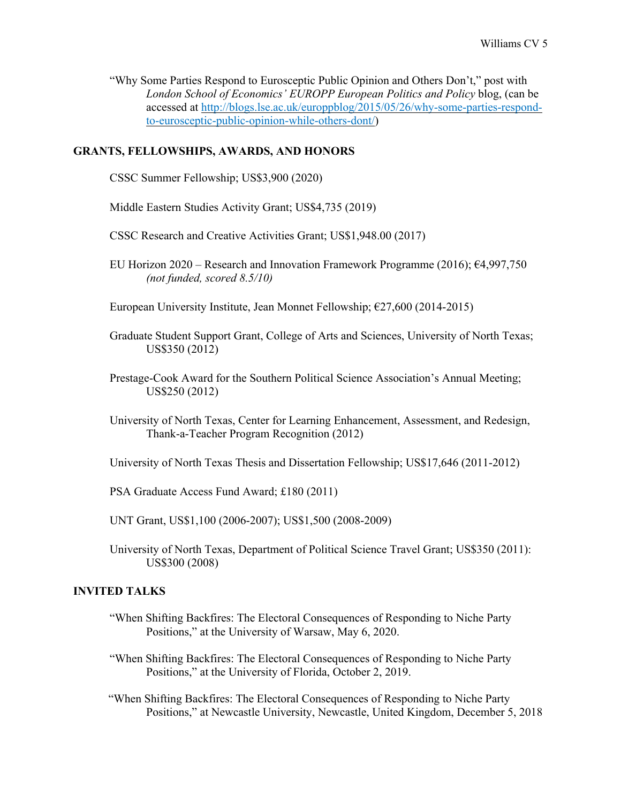"Why Some Parties Respond to Eurosceptic Public Opinion and Others Don't," post with *London School of Economics' EUROPP European Politics and Policy* blog, (can be accessed at http://blogs.lse.ac.uk/europpblog/2015/05/26/why-some-parties-respondto-eurosceptic-public-opinion-while-others-dont/)

## **GRANTS, FELLOWSHIPS, AWARDS, AND HONORS**

CSSC Summer Fellowship; US\$3,900 (2020)

Middle Eastern Studies Activity Grant; US\$4,735 (2019)

CSSC Research and Creative Activities Grant; US\$1,948.00 (2017)

EU Horizon 2020 – Research and Innovation Framework Programme (2016); €4,997,750 *(not funded, scored 8.5/10)*

European University Institute, Jean Monnet Fellowship;  $\epsilon$ 27,600 (2014-2015)

- Graduate Student Support Grant, College of Arts and Sciences, University of North Texas; US\$350 (2012)
- Prestage-Cook Award for the Southern Political Science Association's Annual Meeting; US\$250 (2012)
- University of North Texas, Center for Learning Enhancement, Assessment, and Redesign, Thank-a-Teacher Program Recognition (2012)

University of North Texas Thesis and Dissertation Fellowship; US\$17,646 (2011-2012)

PSA Graduate Access Fund Award; £180 (2011)

UNT Grant, US\$1,100 (2006-2007); US\$1,500 (2008-2009)

University of North Texas, Department of Political Science Travel Grant; US\$350 (2011): US\$300 (2008)

## **INVITED TALKS**

- "When Shifting Backfires: The Electoral Consequences of Responding to Niche Party Positions," at the University of Warsaw, May 6, 2020.
- "When Shifting Backfires: The Electoral Consequences of Responding to Niche Party Positions," at the University of Florida, October 2, 2019.
- "When Shifting Backfires: The Electoral Consequences of Responding to Niche Party Positions," at Newcastle University, Newcastle, United Kingdom, December 5, 2018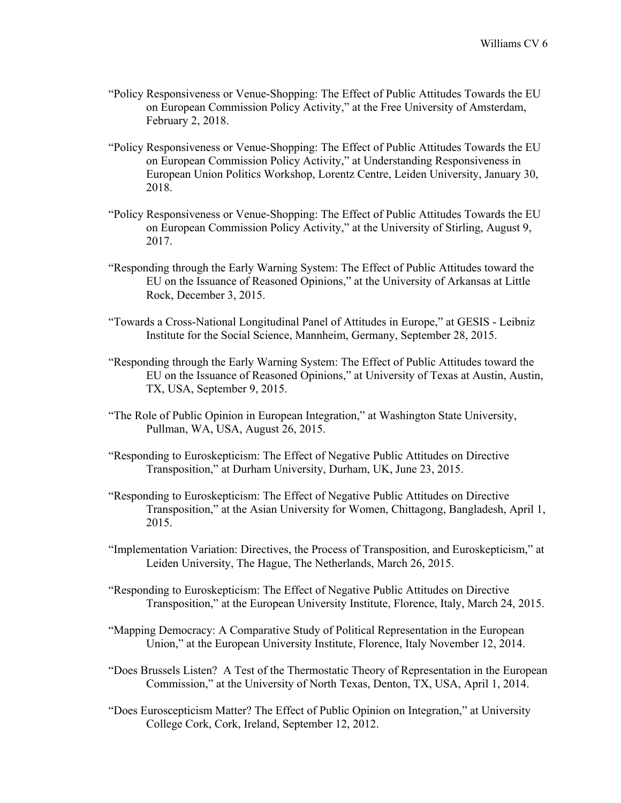- "Policy Responsiveness or Venue-Shopping: The Effect of Public Attitudes Towards the EU on European Commission Policy Activity," at the Free University of Amsterdam, February 2, 2018.
- "Policy Responsiveness or Venue-Shopping: The Effect of Public Attitudes Towards the EU on European Commission Policy Activity," at Understanding Responsiveness in European Union Politics Workshop, Lorentz Centre, Leiden University, January 30, 2018.
- "Policy Responsiveness or Venue-Shopping: The Effect of Public Attitudes Towards the EU on European Commission Policy Activity," at the University of Stirling, August 9, 2017.
- "Responding through the Early Warning System: The Effect of Public Attitudes toward the EU on the Issuance of Reasoned Opinions," at the University of Arkansas at Little Rock, December 3, 2015.
- "Towards a Cross-National Longitudinal Panel of Attitudes in Europe," at GESIS Leibniz Institute for the Social Science, Mannheim, Germany, September 28, 2015.
- "Responding through the Early Warning System: The Effect of Public Attitudes toward the EU on the Issuance of Reasoned Opinions," at University of Texas at Austin, Austin, TX, USA, September 9, 2015.
- "The Role of Public Opinion in European Integration," at Washington State University, Pullman, WA, USA, August 26, 2015.
- "Responding to Euroskepticism: The Effect of Negative Public Attitudes on Directive Transposition," at Durham University, Durham, UK, June 23, 2015.
- "Responding to Euroskepticism: The Effect of Negative Public Attitudes on Directive Transposition," at the Asian University for Women, Chittagong, Bangladesh, April 1, 2015.
- "Implementation Variation: Directives, the Process of Transposition, and Euroskepticism," at Leiden University, The Hague, The Netherlands, March 26, 2015.
- "Responding to Euroskepticism: The Effect of Negative Public Attitudes on Directive Transposition," at the European University Institute, Florence, Italy, March 24, 2015.
- "Mapping Democracy: A Comparative Study of Political Representation in the European Union," at the European University Institute, Florence, Italy November 12, 2014.
- "Does Brussels Listen? A Test of the Thermostatic Theory of Representation in the European Commission," at the University of North Texas, Denton, TX, USA, April 1, 2014.
- "Does Euroscepticism Matter? The Effect of Public Opinion on Integration," at University College Cork, Cork, Ireland, September 12, 2012.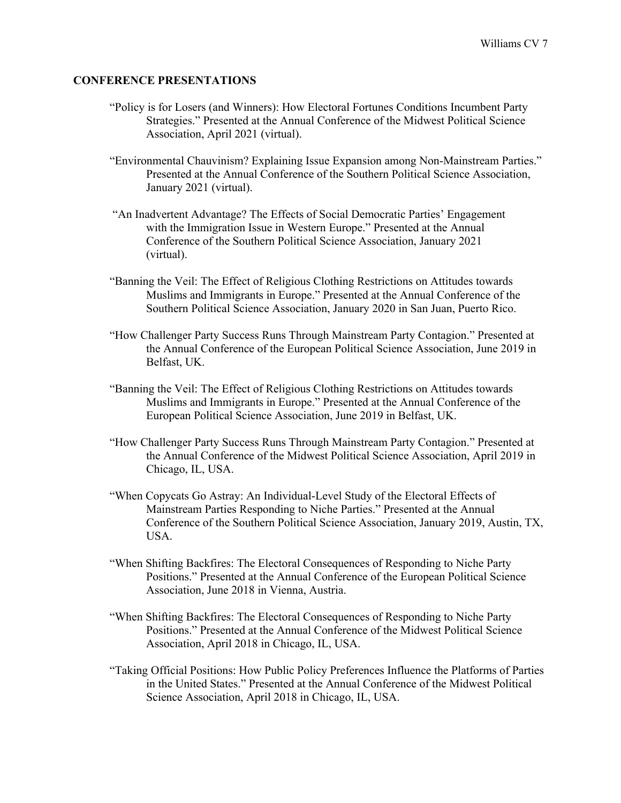#### **CONFERENCE PRESENTATIONS**

- "Policy is for Losers (and Winners): How Electoral Fortunes Conditions Incumbent Party Strategies." Presented at the Annual Conference of the Midwest Political Science Association, April 2021 (virtual).
- "Environmental Chauvinism? Explaining Issue Expansion among Non-Mainstream Parties." Presented at the Annual Conference of the Southern Political Science Association, January 2021 (virtual).
- "An Inadvertent Advantage? The Effects of Social Democratic Parties' Engagement with the Immigration Issue in Western Europe." Presented at the Annual Conference of the Southern Political Science Association, January 2021 (virtual).
- "Banning the Veil: The Effect of Religious Clothing Restrictions on Attitudes towards Muslims and Immigrants in Europe." Presented at the Annual Conference of the Southern Political Science Association, January 2020 in San Juan, Puerto Rico.
- "How Challenger Party Success Runs Through Mainstream Party Contagion." Presented at the Annual Conference of the European Political Science Association, June 2019 in Belfast, UK.
- "Banning the Veil: The Effect of Religious Clothing Restrictions on Attitudes towards Muslims and Immigrants in Europe." Presented at the Annual Conference of the European Political Science Association, June 2019 in Belfast, UK.
- "How Challenger Party Success Runs Through Mainstream Party Contagion." Presented at the Annual Conference of the Midwest Political Science Association, April 2019 in Chicago, IL, USA.
- "When Copycats Go Astray: An Individual-Level Study of the Electoral Effects of Mainstream Parties Responding to Niche Parties." Presented at the Annual Conference of the Southern Political Science Association, January 2019, Austin, TX, USA.
- "When Shifting Backfires: The Electoral Consequences of Responding to Niche Party Positions." Presented at the Annual Conference of the European Political Science Association, June 2018 in Vienna, Austria.
- "When Shifting Backfires: The Electoral Consequences of Responding to Niche Party Positions." Presented at the Annual Conference of the Midwest Political Science Association, April 2018 in Chicago, IL, USA.
- "Taking Official Positions: How Public Policy Preferences Influence the Platforms of Parties in the United States." Presented at the Annual Conference of the Midwest Political Science Association, April 2018 in Chicago, IL, USA.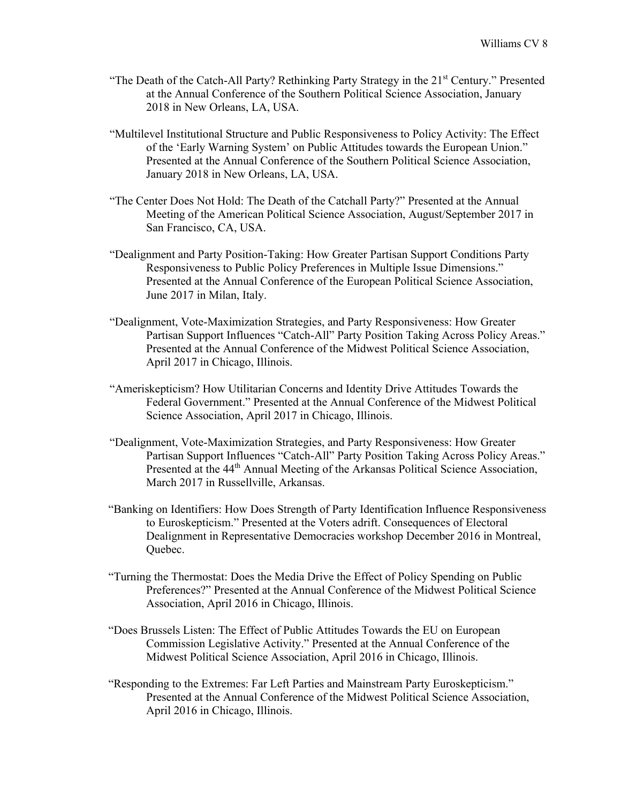- "The Death of the Catch-All Party? Rethinking Party Strategy in the  $21<sup>st</sup>$  Century." Presented at the Annual Conference of the Southern Political Science Association, January 2018 in New Orleans, LA, USA.
- "Multilevel Institutional Structure and Public Responsiveness to Policy Activity: The Effect of the 'Early Warning System' on Public Attitudes towards the European Union." Presented at the Annual Conference of the Southern Political Science Association, January 2018 in New Orleans, LA, USA.
- "The Center Does Not Hold: The Death of the Catchall Party?" Presented at the Annual Meeting of the American Political Science Association, August/September 2017 in San Francisco, CA, USA.
- "Dealignment and Party Position-Taking: How Greater Partisan Support Conditions Party Responsiveness to Public Policy Preferences in Multiple Issue Dimensions." Presented at the Annual Conference of the European Political Science Association, June 2017 in Milan, Italy.
- "Dealignment, Vote-Maximization Strategies, and Party Responsiveness: How Greater Partisan Support Influences "Catch-All" Party Position Taking Across Policy Areas." Presented at the Annual Conference of the Midwest Political Science Association, April 2017 in Chicago, Illinois.
- "Ameriskepticism? How Utilitarian Concerns and Identity Drive Attitudes Towards the Federal Government." Presented at the Annual Conference of the Midwest Political Science Association, April 2017 in Chicago, Illinois.
- "Dealignment, Vote-Maximization Strategies, and Party Responsiveness: How Greater Partisan Support Influences "Catch-All" Party Position Taking Across Policy Areas." Presented at the 44<sup>th</sup> Annual Meeting of the Arkansas Political Science Association, March 2017 in Russellville, Arkansas.
- "Banking on Identifiers: How Does Strength of Party Identification Influence Responsiveness to Euroskepticism." Presented at the Voters adrift. Consequences of Electoral Dealignment in Representative Democracies workshop December 2016 in Montreal, Quebec.
- "Turning the Thermostat: Does the Media Drive the Effect of Policy Spending on Public Preferences?" Presented at the Annual Conference of the Midwest Political Science Association, April 2016 in Chicago, Illinois.
- "Does Brussels Listen: The Effect of Public Attitudes Towards the EU on European Commission Legislative Activity." Presented at the Annual Conference of the Midwest Political Science Association, April 2016 in Chicago, Illinois.
- "Responding to the Extremes: Far Left Parties and Mainstream Party Euroskepticism." Presented at the Annual Conference of the Midwest Political Science Association, April 2016 in Chicago, Illinois.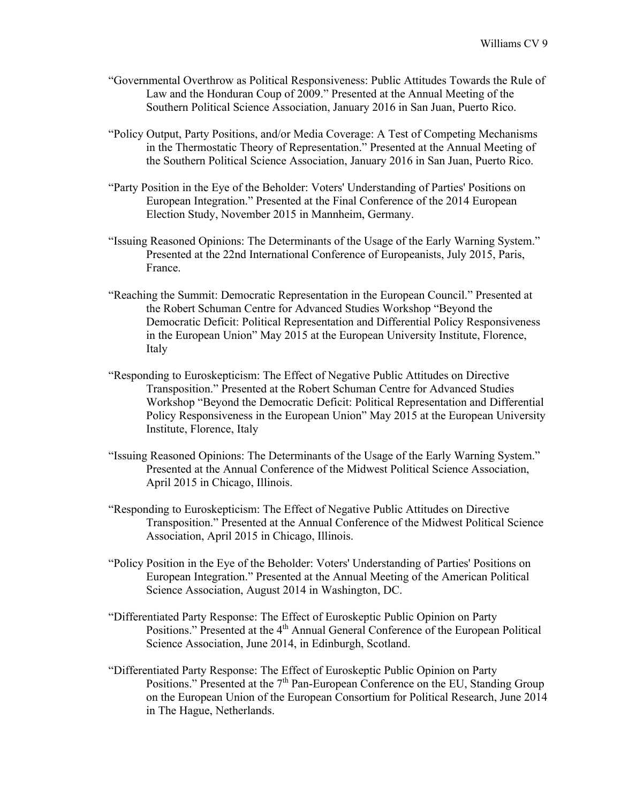- "Governmental Overthrow as Political Responsiveness: Public Attitudes Towards the Rule of Law and the Honduran Coup of 2009." Presented at the Annual Meeting of the Southern Political Science Association, January 2016 in San Juan, Puerto Rico.
- "Policy Output, Party Positions, and/or Media Coverage: A Test of Competing Mechanisms in the Thermostatic Theory of Representation." Presented at the Annual Meeting of the Southern Political Science Association, January 2016 in San Juan, Puerto Rico.
- "Party Position in the Eye of the Beholder: Voters' Understanding of Parties' Positions on European Integration." Presented at the Final Conference of the 2014 European Election Study, November 2015 in Mannheim, Germany.
- "Issuing Reasoned Opinions: The Determinants of the Usage of the Early Warning System." Presented at the 22nd International Conference of Europeanists, July 2015, Paris, France.
- "Reaching the Summit: Democratic Representation in the European Council." Presented at the Robert Schuman Centre for Advanced Studies Workshop "Beyond the Democratic Deficit: Political Representation and Differential Policy Responsiveness in the European Union" May 2015 at the European University Institute, Florence, Italy
- "Responding to Euroskepticism: The Effect of Negative Public Attitudes on Directive Transposition." Presented at the Robert Schuman Centre for Advanced Studies Workshop "Beyond the Democratic Deficit: Political Representation and Differential Policy Responsiveness in the European Union" May 2015 at the European University Institute, Florence, Italy
- "Issuing Reasoned Opinions: The Determinants of the Usage of the Early Warning System." Presented at the Annual Conference of the Midwest Political Science Association, April 2015 in Chicago, Illinois.
- "Responding to Euroskepticism: The Effect of Negative Public Attitudes on Directive Transposition." Presented at the Annual Conference of the Midwest Political Science Association, April 2015 in Chicago, Illinois.
- "Policy Position in the Eye of the Beholder: Voters' Understanding of Parties' Positions on European Integration." Presented at the Annual Meeting of the American Political Science Association, August 2014 in Washington, DC.
- "Differentiated Party Response: The Effect of Euroskeptic Public Opinion on Party Positions." Presented at the 4<sup>th</sup> Annual General Conference of the European Political Science Association, June 2014, in Edinburgh, Scotland.
- "Differentiated Party Response: The Effect of Euroskeptic Public Opinion on Party Positions." Presented at the 7<sup>th</sup> Pan-European Conference on the EU, Standing Group on the European Union of the European Consortium for Political Research, June 2014 in The Hague, Netherlands.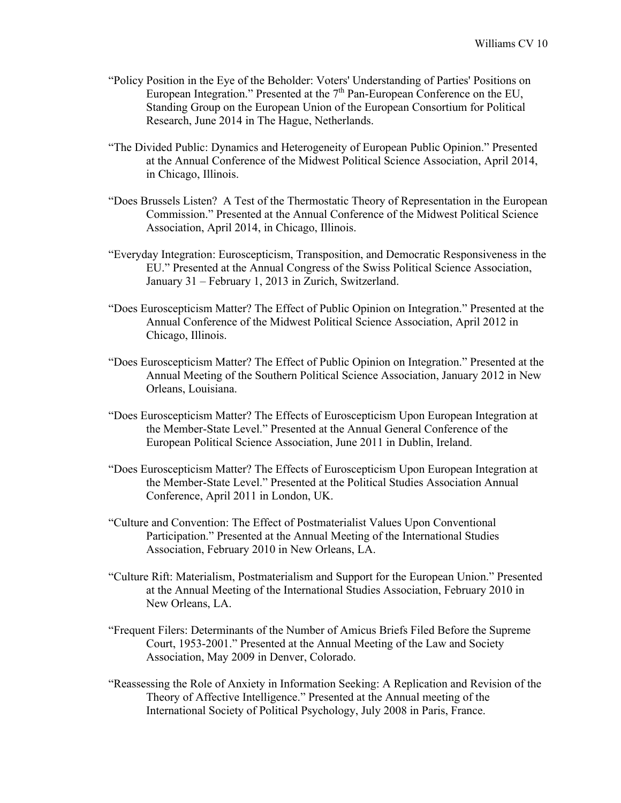- "Policy Position in the Eye of the Beholder: Voters' Understanding of Parties' Positions on European Integration." Presented at the  $7<sup>th</sup>$  Pan-European Conference on the EU, Standing Group on the European Union of the European Consortium for Political Research, June 2014 in The Hague, Netherlands.
- "The Divided Public: Dynamics and Heterogeneity of European Public Opinion." Presented at the Annual Conference of the Midwest Political Science Association, April 2014, in Chicago, Illinois.
- "Does Brussels Listen? A Test of the Thermostatic Theory of Representation in the European Commission." Presented at the Annual Conference of the Midwest Political Science Association, April 2014, in Chicago, Illinois.
- "Everyday Integration: Euroscepticism, Transposition, and Democratic Responsiveness in the EU." Presented at the Annual Congress of the Swiss Political Science Association, January 31 – February 1, 2013 in Zurich, Switzerland.
- "Does Euroscepticism Matter? The Effect of Public Opinion on Integration." Presented at the Annual Conference of the Midwest Political Science Association, April 2012 in Chicago, Illinois.
- "Does Euroscepticism Matter? The Effect of Public Opinion on Integration." Presented at the Annual Meeting of the Southern Political Science Association, January 2012 in New Orleans, Louisiana.
- "Does Euroscepticism Matter? The Effects of Euroscepticism Upon European Integration at the Member-State Level." Presented at the Annual General Conference of the European Political Science Association, June 2011 in Dublin, Ireland.
- "Does Euroscepticism Matter? The Effects of Euroscepticism Upon European Integration at the Member-State Level." Presented at the Political Studies Association Annual Conference, April 2011 in London, UK.
- "Culture and Convention: The Effect of Postmaterialist Values Upon Conventional Participation." Presented at the Annual Meeting of the International Studies Association, February 2010 in New Orleans, LA.
- "Culture Rift: Materialism, Postmaterialism and Support for the European Union." Presented at the Annual Meeting of the International Studies Association, February 2010 in New Orleans, LA.
- "Frequent Filers: Determinants of the Number of Amicus Briefs Filed Before the Supreme Court, 1953-2001." Presented at the Annual Meeting of the Law and Society Association, May 2009 in Denver, Colorado.
- "Reassessing the Role of Anxiety in Information Seeking: A Replication and Revision of the Theory of Affective Intelligence." Presented at the Annual meeting of the International Society of Political Psychology, July 2008 in Paris, France.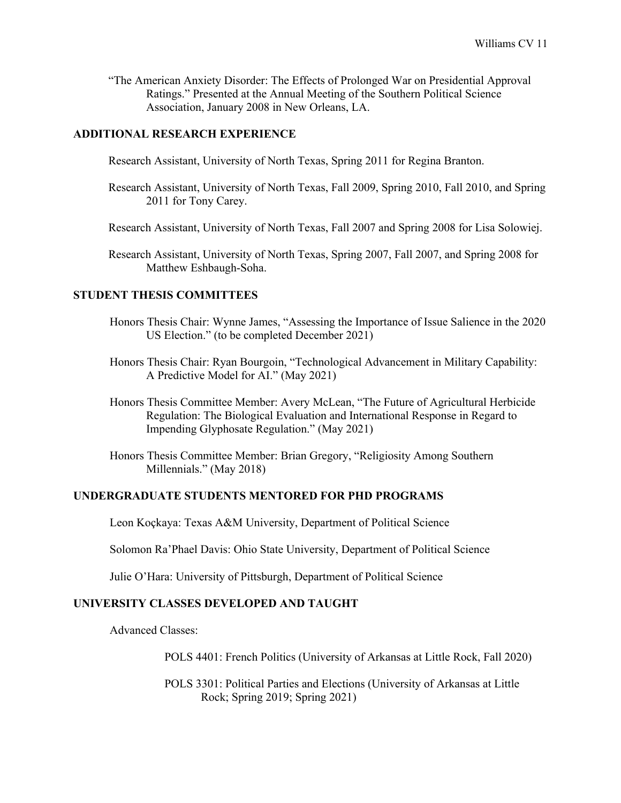"The American Anxiety Disorder: The Effects of Prolonged War on Presidential Approval Ratings." Presented at the Annual Meeting of the Southern Political Science Association, January 2008 in New Orleans, LA.

## **ADDITIONAL RESEARCH EXPERIENCE**

Research Assistant, University of North Texas, Spring 2011 for Regina Branton.

- Research Assistant, University of North Texas, Fall 2009, Spring 2010, Fall 2010, and Spring 2011 for Tony Carey.
- Research Assistant, University of North Texas, Fall 2007 and Spring 2008 for Lisa Solowiej.
- Research Assistant, University of North Texas, Spring 2007, Fall 2007, and Spring 2008 for Matthew Eshbaugh-Soha.

#### **STUDENT THESIS COMMITTEES**

- Honors Thesis Chair: Wynne James, "Assessing the Importance of Issue Salience in the 2020 US Election." (to be completed December 2021)
- Honors Thesis Chair: Ryan Bourgoin, "Technological Advancement in Military Capability: A Predictive Model for AI." (May 2021)
- Honors Thesis Committee Member: Avery McLean, "The Future of Agricultural Herbicide Regulation: The Biological Evaluation and International Response in Regard to Impending Glyphosate Regulation." (May 2021)
- Honors Thesis Committee Member: Brian Gregory, "Religiosity Among Southern Millennials." (May 2018)

#### **UNDERGRADUATE STUDENTS MENTORED FOR PHD PROGRAMS**

Leon Koçkaya: Texas A&M University, Department of Political Science

Solomon Ra'Phael Davis: Ohio State University, Department of Political Science

Julie O'Hara: University of Pittsburgh, Department of Political Science

## **UNIVERSITY CLASSES DEVELOPED AND TAUGHT**

Advanced Classes:

POLS 4401: French Politics (University of Arkansas at Little Rock, Fall 2020)

POLS 3301: Political Parties and Elections (University of Arkansas at Little Rock; Spring 2019; Spring 2021)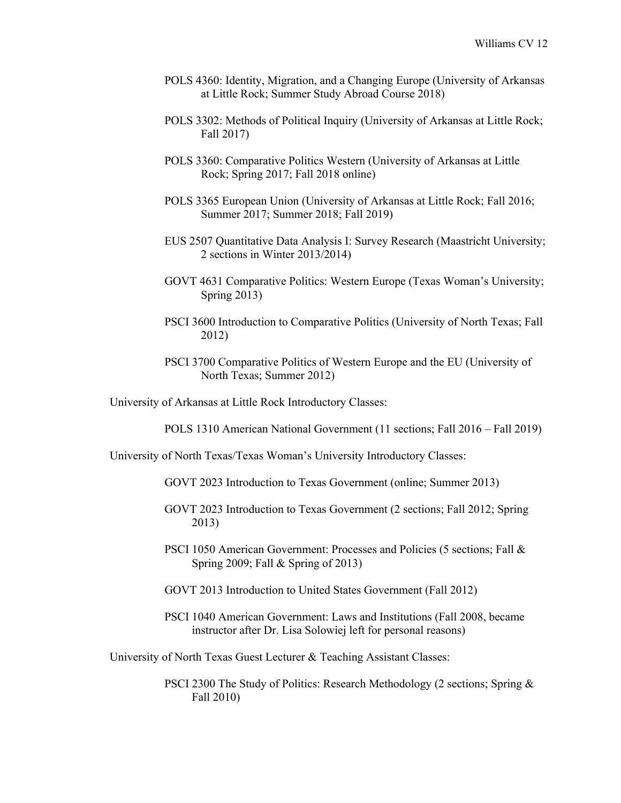- POLS 4360: Identity, Migration, and a Changing Europe (University of Arkansas at Little Rock; Summer Study Abroad Course 2018)
- POLS 3302: Methods of Political Inquiry (University of Arkansas at Little Rock; Fall 2017)
- POLS 3360: Comparative Politics Western (University of Arkansas at Little Rock; Spring 2017; Fall 2018 online)
- POLS 3365 European Union (University of Arkansas at Little Rock; Fall 2016; Summer 2017; Summer 2018; Fall 2019)
- EUS 2507 Quantitative Data Analysis I: Survey Research (Maastricht University; 2 sections in Winter 2013/2014)
- GOVT 4631 Comparative Politics: Western Europe (Texas Woman's University; Spring 2013)
- PSCI 3600 Introduction to Comparative Politics (University of North Texas; Fall 2012)
- PSCI 3700 Comparative Politics of Western Europe and the EU (University of North Texas; Summer 2012)

University of Arkansas at Little Rock Introductory Classes:

POLS 1310 American National Government (11 sections; Fall 2016 – Fall 2019)

University of North Texas/Texas Woman's University Introductory Classes:

- GOVT 2023 Introduction to Texas Government (online; Summer 2013)
- GOVT 2023 Introduction to Texas Government (2 sections; Fall 2012; Spring 2013)
- PSCI 1050 American Government: Processes and Policies (5 sections; Fall & Spring 2009; Fall & Spring of 2013)
- GOVT 2013 Introduction to United States Government (Fall 2012)
- PSCI 1040 American Government: Laws and Institutions (Fall 2008, became instructor after Dr. Lisa Solowiej left for personal reasons)

University of North Texas Guest Lecturer & Teaching Assistant Classes:

PSCI 2300 The Study of Politics: Research Methodology (2 sections; Spring & Fall 2010)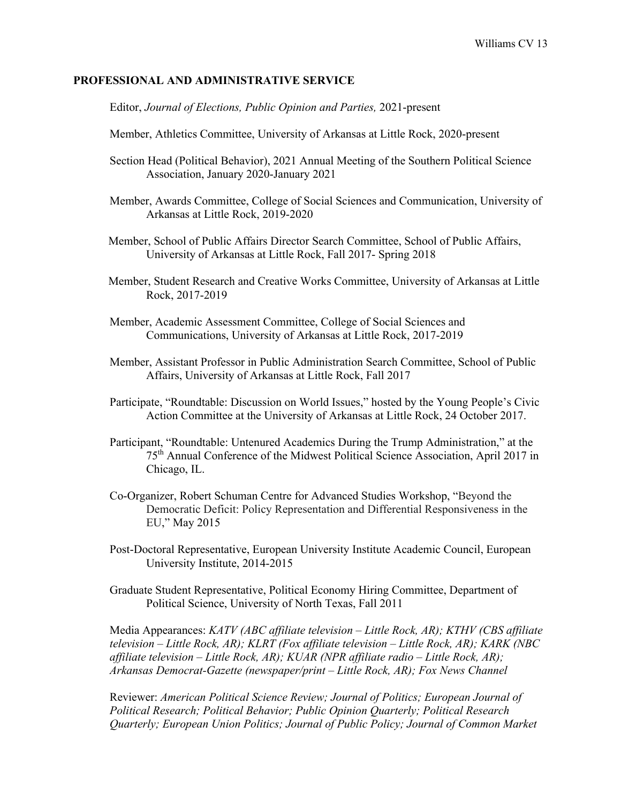#### **PROFESSIONAL AND ADMINISTRATIVE SERVICE**

Editor, *Journal of Elections, Public Opinion and Parties,* 2021-present

- Member, Athletics Committee, University of Arkansas at Little Rock, 2020-present
- Section Head (Political Behavior), 2021 Annual Meeting of the Southern Political Science Association, January 2020-January 2021
- Member, Awards Committee, College of Social Sciences and Communication, University of Arkansas at Little Rock, 2019-2020
- Member, School of Public Affairs Director Search Committee, School of Public Affairs, University of Arkansas at Little Rock, Fall 2017- Spring 2018
- Member, Student Research and Creative Works Committee, University of Arkansas at Little Rock, 2017-2019
- Member, Academic Assessment Committee, College of Social Sciences and Communications, University of Arkansas at Little Rock, 2017-2019
- Member, Assistant Professor in Public Administration Search Committee, School of Public Affairs, University of Arkansas at Little Rock, Fall 2017
- Participate, "Roundtable: Discussion on World Issues," hosted by the Young People's Civic Action Committee at the University of Arkansas at Little Rock, 24 October 2017.
- Participant, "Roundtable: Untenured Academics During the Trump Administration," at the 75th Annual Conference of the Midwest Political Science Association, April 2017 in Chicago, IL.
- Co-Organizer, Robert Schuman Centre for Advanced Studies Workshop, "Beyond the Democratic Deficit: Policy Representation and Differential Responsiveness in the EU," May 2015
- Post-Doctoral Representative, European University Institute Academic Council, European University Institute, 2014-2015
- Graduate Student Representative, Political Economy Hiring Committee, Department of Political Science, University of North Texas, Fall 2011

Media Appearances: *KATV (ABC affiliate television – Little Rock, AR); KTHV (CBS affiliate television – Little Rock, AR); KLRT (Fox affiliate television – Little Rock, AR); KARK (NBC affiliate television – Little Rock, AR); KUAR (NPR affiliate radio – Little Rock, AR); Arkansas Democrat-Gazette (newspaper/print – Little Rock, AR); Fox News Channel*

Reviewer: *American Political Science Review; Journal of Politics; European Journal of Political Research; Political Behavior; Public Opinion Quarterly; Political Research Quarterly; European Union Politics; Journal of Public Policy; Journal of Common Market*